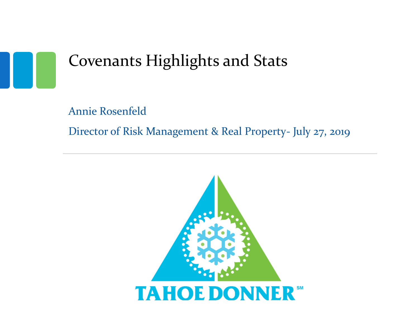

## Covenants Highlights and Stats

Annie Rosenfeld Director of Risk Management & Real Property- July 27, 2019

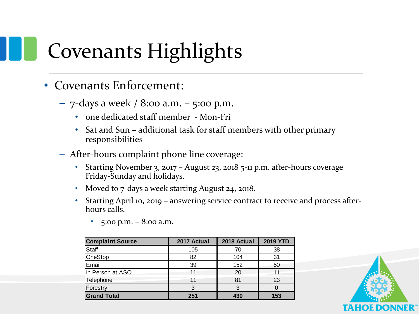# Covenants Highlights

- Covenants Enforcement:
	- $-7$ -days a week / 8:00 a.m.  $-5$ :00 p.m.
		- one dedicated staff member Mon-Fri
		- Sat and Sun additional task for staff members with other primary responsibilities
	- After-hours complaint phone line coverage:
		- Starting November 3, 2017 August 23, 2018 5-11 p.m. after-hours coverage Friday-Sunday and holidays.
		- Moved to 7-days a week starting August 24, 2018.
		- Starting April 10, 2019 answering service contract to receive and process afterhours calls.

| <b>Complaint Source</b> | 2017 Actual | 2018 Actual | <b>2019 YTD</b> |
|-------------------------|-------------|-------------|-----------------|
| Staff                   | 105         | 70          | 38              |
| OneStop                 | 82          | 104         | 31              |
| Email                   | 39          | 152         | 50              |
| In Person at ASO        | 11          | 20          | 11              |
| Telephone               | 11          | 81          | 23              |
| Forestry                | 3           |             |                 |
| <b>Grand Total</b>      | 251         | 430         | 153             |

•  $5:00 \text{ p.m.} - 8:00 \text{ a.m.}$ 

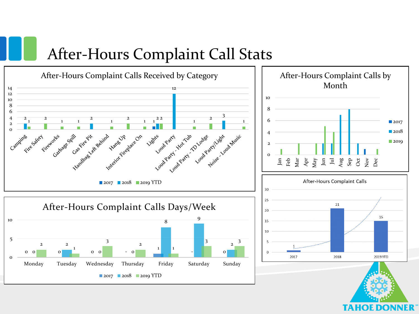#### After-Hours Complaint Call Stats

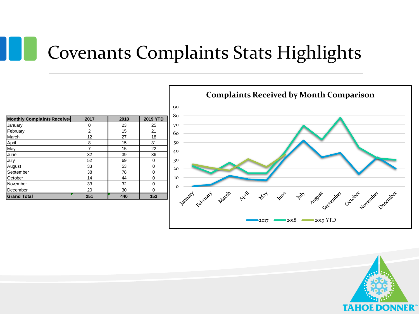# Covenants Complaints Stats Highlights

| <b>Monthly Complaints Received</b> | 2017           | 2018 | <b>2019 YTD</b> |
|------------------------------------|----------------|------|-----------------|
| January                            | 0              | 23   | 25              |
| February                           | $\overline{2}$ | 15   | 21              |
| March                              | 12             | 27   | 18              |
| April                              | 8              | 15   | 31              |
| May                                | 7              | 15   | 22              |
| June                               | 32             | 39   | 36              |
| July                               | 52             | 69   | 0               |
| August                             | 33             | 53   | 0               |
| September                          | 38             | 78   | 0               |
| October                            | 14             | 44   | 0               |
| November                           | 33             | 32   | 0               |
| December                           | 20             | 30   | 0               |
| <b>Grand Total</b>                 | 251            | 440  | 153             |